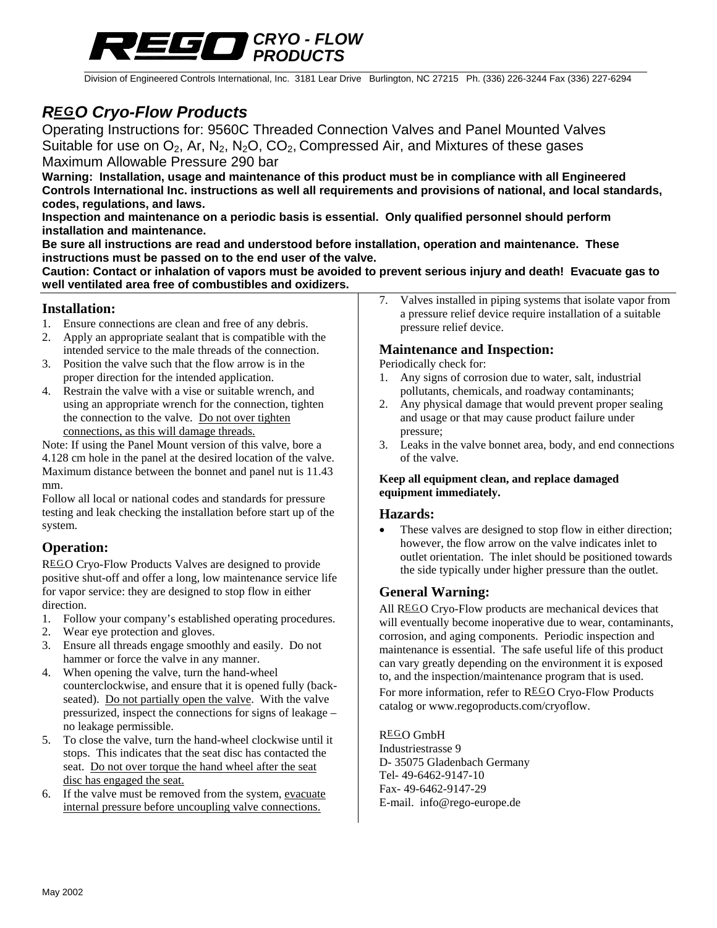

Division of Engineered Controls International, Inc. 3181 Lear Drive Burlington, NC 27215 Ph. (336) 226-3244 Fax (336) 227-6294

# *REGO Cryo-Flow Products*

Operating Instructions for: 9560C Threaded Connection Valves and Panel Mounted Valves Suitable for use on  $O_2$ , Ar, N<sub>2</sub>, N<sub>2</sub>O, CO<sub>2</sub>, Compressed Air, and Mixtures of these gases Maximum Allowable Pressure 290 bar

**Warning: Installation, usage and maintenance of this product must be in compliance with all Engineered Controls International Inc. instructions as well all requirements and provisions of national, and local standards, codes, regulations, and laws.** 

**Inspection and maintenance on a periodic basis is essential. Only qualified personnel should perform installation and maintenance.** 

**Be sure all instructions are read and understood before installation, operation and maintenance. These instructions must be passed on to the end user of the valve.** 

**Caution: Contact or inhalation of vapors must be avoided to prevent serious injury and death! Evacuate gas to well ventilated area free of combustibles and oxidizers.** 

### **Installation:**

- 1. Ensure connections are clean and free of any debris.
- 2. Apply an appropriate sealant that is compatible with the intended service to the male threads of the connection.
- 3. Position the valve such that the flow arrow is in the proper direction for the intended application.
- 4. Restrain the valve with a vise or suitable wrench, and using an appropriate wrench for the connection, tighten the connection to the valve. Do not over tighten connections, as this will damage threads.

Note: If using the Panel Mount version of this valve, bore a 4.128 cm hole in the panel at the desired location of the valve. Maximum distance between the bonnet and panel nut is 11.43 mm.

Follow all local or national codes and standards for pressure testing and leak checking the installation before start up of the system.

# **Operation:**

REGO Cryo-Flow Products Valves are designed to provide positive shut-off and offer a long, low maintenance service life for vapor service: they are designed to stop flow in either direction.

- 1. Follow your company's established operating procedures.
- 2. Wear eye protection and gloves.
- 3. Ensure all threads engage smoothly and easily. Do not hammer or force the valve in any manner.
- 4. When opening the valve, turn the hand-wheel counterclockwise, and ensure that it is opened fully (backseated). Do not partially open the valve. With the valve pressurized, inspect the connections for signs of leakage – no leakage permissible.
- 5. To close the valve, turn the hand-wheel clockwise until it stops. This indicates that the seat disc has contacted the seat. Do not over torque the hand wheel after the seat disc has engaged the seat.
- 6. If the valve must be removed from the system, evacuate internal pressure before uncoupling valve connections.

7. Valves installed in piping systems that isolate vapor from a pressure relief device require installation of a suitable pressure relief device.

### **Maintenance and Inspection:**

Periodically check for:

- 1. Any signs of corrosion due to water, salt, industrial pollutants, chemicals, and roadway contaminants;
- 2. Any physical damage that would prevent proper sealing and usage or that may cause product failure under pressure;
- 3. Leaks in the valve bonnet area, body, and end connections of the valve.

### **Keep all equipment clean, and replace damaged equipment immediately.**

### **Hazards:**

• These valves are designed to stop flow in either direction; however, the flow arrow on the valve indicates inlet to outlet orientation. The inlet should be positioned towards the side typically under higher pressure than the outlet.

# **General Warning:**

All  $REGO$  Cryo-Flow products are mechanical devices that will eventually become inoperative due to wear, contaminants, corrosion, and aging components. Periodic inspection and maintenance is essential. The safe useful life of this product can vary greatly depending on the environment it is exposed to, and the inspection/maintenance program that is used. For more information, refer to REGO Cryo-Flow Products catalog or www.regoproducts.com/cryoflow.

### REGO GmbH

Industriestrasse 9 D- 35075 Gladenbach Germany Tel- 49-6462-9147-10 Fax- 49-6462-9147-29 E-mail. info@rego-europe.de